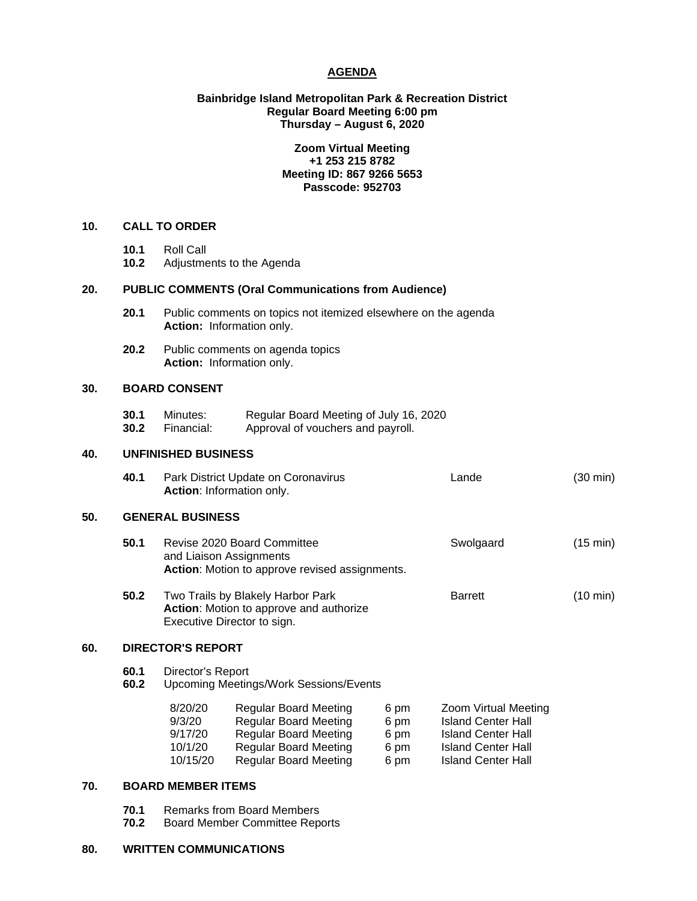## **AGENDA**

# **Bainbridge Island Metropolitan Park & Recreation District Regular Board Meeting 6:00 pm Thursday – August 6, 2020**

# **Zoom Virtual Meeting +1 253 215 8782 Meeting ID: 867 9266 5653 Passcode: 952703**

# **10. CALL TO ORDER**

- **10.1** Roll Call
- **10.2** Adjustments to the Agenda

# **20. PUBLIC COMMENTS (Oral Communications from Audience)**

- **20.1** Public comments on topics not itemized elsewhere on the agenda **Action:** Information only.
- **20.2** Public comments on agenda topics **Action:** Information only.

# **30. BOARD CONSENT**

**30.1** Minutes: Regular Board Meeting of July 16, 2020<br>**30.2** Financial: Approval of vouchers and payroll. Approval of vouchers and payroll.

## **40. UNFINISHED BUSINESS**

| 40.1 | Park District Update on Coronavirus | Lande | $(30 \text{ min})$ |
|------|-------------------------------------|-------|--------------------|
|      | <b>Action:</b> Information only.    |       |                    |

## **50. GENERAL BUSINESS**

- **50.1** Revise 2020 Board Committee **Swolgaard** (15 min) and Liaison Assignments **Action**: Motion to approve revised assignments.
- **50.2 Two Trails by Blakely Harbor Park Barrett** Barrett (10 min) **Action**: Motion to approve and authorize Executive Director to sign.

# **60. DIRECTOR'S REPORT**

- **60.1** Director's Report
- **60.2** Upcoming Meetings/Work Sessions/Events

| 8/20/20<br><b>Regular Board Meeting</b><br>6 pm  | Zoom Virtual Meeting      |
|--------------------------------------------------|---------------------------|
| 9/3/20<br><b>Regular Board Meeting</b><br>6 pm   | <b>Island Center Hall</b> |
| 9/17/20<br><b>Regular Board Meeting</b><br>6 pm  | <b>Island Center Hall</b> |
| 10/1/20<br><b>Regular Board Meeting</b><br>6 pm  | <b>Island Center Hall</b> |
| 10/15/20<br><b>Regular Board Meeting</b><br>6 pm | <b>Island Center Hall</b> |

# **70. BOARD MEMBER ITEMS**

- **70.1** Remarks from Board Members
- **70.2** Board Member Committee Reports

### **80. WRITTEN COMMUNICATIONS**